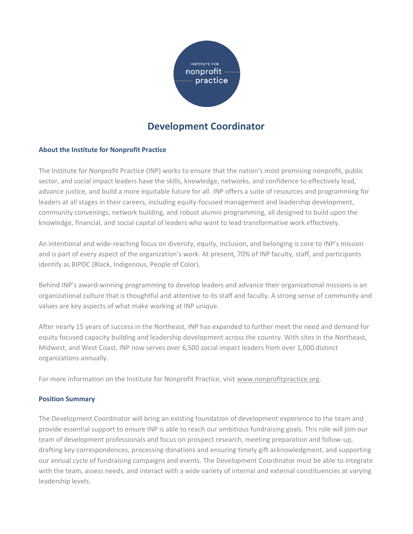

# **Development Coordinator**

### **About the Institute for Nonprofit Practice**

The Institute for Nonprofit Practice (INP) works to ensure that the nation's most promising nonprofit, public sector, and social impact leaders have the skills, knowledge, networks, and confidence to effectively lead, advance justice, and build a more equitable future for all. INP offers a suite of resources and programming for leaders at all stages in their careers, including equity-focused management and leadership development, community convenings, network building, and robust alumni programming, all designed to build upon the knowledge, financial, and social capital of leaders who want to lead transformative work effectively.

An intentional and wide-reaching focus on diversity, equity, inclusion, and belonging is core to INP's mission and is part of every aspect of the organization's work. At present, 70% of INP faculty, staff, and participants identify as BIPOC (Black, Indigenous, People of Color).

Behind INP's award-winning programming to develop leaders and advance their organizational missions is an organizational culture that is thoughtful and attentive to its staff and faculty. A strong sense of community and values are key aspects of what make working at INP unique.

After nearly 15 years of success in the Northeast, INP has expanded to further meet the need and demand for equity focused capacity building and leadership development across the country. With sites in the Northeast, Midwest, and West Coast, INP now serves over 6,500 social impact leaders from over 1,000 distinct organizations annually.

For more information on the Institute for Nonprofit Practice, visit www.nonprofitpractice.org.

#### **Position Summary**

The Development Coordinator will bring an existing foundation of development experience to the team and provide essential support to ensure INP is able to reach our ambitious fundraising goals. This role will join our team of development professionals and focus on prospect research, meeting preparation and follow-up, drafting key correspondences, processing donations and ensuring timely gift acknowledgment, and supporting our annual cycle of fundraising campaigns and events. The Development Coordinator must be able to integrate with the team, assess needs, and interact with a wide variety of internal and external constituencies at varying leadership levels.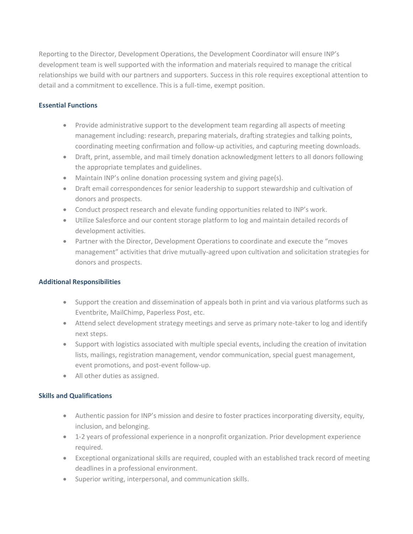Reporting to the Director, Development Operations, the Development Coordinator will ensure INP's development team is well supported with the information and materials required to manage the critical relationships we build with our partners and supporters. Success in this role requires exceptional attention to detail and a commitment to excellence. This is a full-time, exempt position.

## **Essential Functions**

- Provide administrative support to the development team regarding all aspects of meeting management including: research, preparing materials, drafting strategies and talking points, coordinating meeting confirmation and follow-up activities, and capturing meeting downloads.
- Draft, print, assemble, and mail timely donation acknowledgment letters to all donors following the appropriate templates and guidelines.
- Maintain INP's online donation processing system and giving page(s).
- Draft email correspondences for senior leadership to support stewardship and cultivation of donors and prospects.
- Conduct prospect research and elevate funding opportunities related to INP's work.
- Utilize Salesforce and our content storage platform to log and maintain detailed records of development activities.
- Partner with the Director, Development Operations to coordinate and execute the "moves management" activities that drive mutually-agreed upon cultivation and solicitation strategies for donors and prospects.

#### **Additional Responsibilities**

- Support the creation and dissemination of appeals both in print and via various platforms such as Eventbrite, MailChimp, Paperless Post, etc.
- Attend select development strategy meetings and serve as primary note-taker to log and identify next steps.
- Support with logistics associated with multiple special events, including the creation of invitation lists, mailings, registration management, vendor communication, special guest management, event promotions, and post-event follow-up.
- All other duties as assigned.

# **Skills and Qualifications**

- Authentic passion for INP's mission and desire to foster practices incorporating diversity, equity, inclusion, and belonging.
- 1-2 years of professional experience in a nonprofit organization. Prior development experience required.
- Exceptional organizational skills are required, coupled with an established track record of meeting deadlines in a professional environment.
- Superior writing, interpersonal, and communication skills.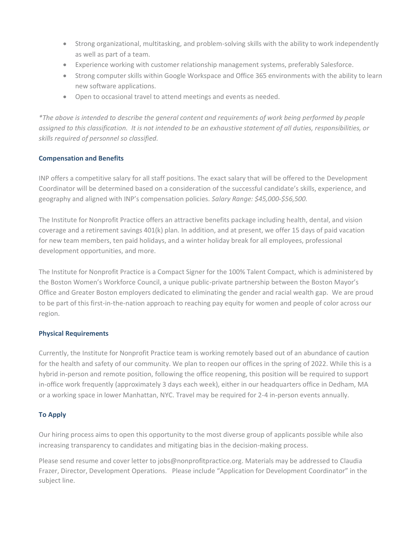- Strong organizational, multitasking, and problem-solving skills with the ability to work independently as well as part of a team.
- Experience working with customer relationship management systems, preferably Salesforce.
- Strong computer skills within Google Workspace and Office 365 environments with the ability to learn new software applications.
- Open to occasional travel to attend meetings and events as needed.

*\*The above is intended to describe the general content and requirements of work being performed by people assigned to this classification. It is not intended to be an exhaustive statement of all duties, responsibilities, or skills required of personnel so classified.*

# **Compensation and Benefits**

INP offers a competitive salary for all staff positions. The exact salary that will be offered to the Development Coordinator will be determined based on a consideration of the successful candidate's skills, experience, and geography and aligned with INP's compensation policies. *Salary Range: \$45,000-\$56,500.* 

The Institute for Nonprofit Practice offers an attractive benefits package including health, dental, and vision coverage and a retirement savings 401(k) plan. In addition, and at present, we offer 15 days of paid vacation for new team members, ten paid holidays, and a winter holiday break for all employees, professional development opportunities, and more.

The Institute for Nonprofit Practice is a Compact Signer for the 100% Talent Compact, which is administered by the Boston Women's Workforce Council, a unique public-private partnership between the Boston Mayor's Office and Greater Boston employers dedicated to eliminating the gender and racial wealth gap. We are proud to be part of this first-in-the-nation approach to reaching pay equity for women and people of color across our region.

# **Physical Requirements**

Currently, the Institute for Nonprofit Practice team is working remotely based out of an abundance of caution for the health and safety of our community. We plan to reopen our offices in the spring of 2022. While this is a hybrid in-person and remote position, following the office reopening, this position will be required to support in-office work frequently (approximately 3 days each week), either in our headquarters office in Dedham, MA or a working space in lower Manhattan, NYC. Travel may be required for 2-4 in-person events annually.

# **To Apply**

Our hiring process aims to open this opportunity to the most diverse group of applicants possible while also increasing transparency to candidates and mitigating bias in the decision-making process.

Please send resume and cover letter to jobs@nonprofitpractice.org. Materials may be addressed to Claudia Frazer, Director, Development Operations. Please include "Application for Development Coordinator" in the subject line.